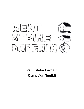

**Rent Strike Bargain Campaign Toolkit**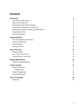## **Content**

| <b>Introduction</b>                            | 3              |
|------------------------------------------------|----------------|
| The Tenants' Rights Crisis                     | 3              |
| Who Is This Toolkit For?                       | 4              |
| What Exactly Is Rent Strike Bargain?           | 4              |
| A Provincial Campaign with Local Roots         | 5              |
| Building Partnerships with the Labour Movement | 5              |
| <b>Organizational Map</b>                      | 6              |
| Terms & Definitions                            | $\overline{7}$ |
| <b>Organizing Guide</b>                        | 8              |
| How To Organize your Building                  | 8              |
| <b>Community Meetings</b>                      | 10             |
| <b>Phone Banking</b>                           | 11             |
| Tabling at Events                              | 12             |
| <b>Host a Town Hall</b>                        | 13             |
| What You Need                                  | 13             |
| How To Run a Town Hall                         | 13             |
| The Benefits of a Town Hall                    | 14             |
| <b>Meeting With Officials</b>                  | 15             |
| Make the Meeting Effective                     | 15             |
| <b>Further Activities</b>                      | 17             |
| <b>Social Media Posts</b>                      | 17             |
| Sample Posts                                   | 17             |
| Deeper Engagement                              | 18             |
| <b>Campaign Materials</b>                      | 18             |
| Join Our Campaign                              | 19             |
| Contact us                                     | 19             |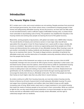## <span id="page-2-0"></span>**Introduction**

#### <span id="page-2-1"></span>**The Tenants' Rights Crisis**

B.C.'s renters are in crisis, and current solutions are not working. Despite promises from provincial and municipal governments, few of their actions show a commitment to keeping people in their homes and safeguarding affordable housing. Across the province, we have seen too little action to end reno/demovictions, build a sufficient supply of affordable housing units, or protect those most vulnerable to skyrocketing costs of living. The pandemic has amplified the inequities in the housing market and working-class people are bearing the brunt of the global recovery.

Meanwhile, owning property is big business, with global real estate now a \$300 trillion industry. The overall decline of industry and commerce sectors in most major cities has left land speculation the only game in town for those hoping to turn a quick profit or enjoy a steady, idle income as a landlord. Speculation on land as an appreciating asset drives people out of their homes and disincentivizes the construction of new affordable housing. When housing is seen as just another commodity for trading, landlords and developers are encouraged to do whatever they can to maximize their returns. This leads to illegal evictions, demolition of perfectly fine, affordable rental units, and the destruction of invaluable community amenities without any input from the people that live there.

The primary victims of this framework are renters as we now make up over a third of all BC households. Average rent now accounts for 30% of gross income, especially in urban areas. Low and fixed-income renters have few options, which forces them to settle for substandard housing and to increase their daily commutes to an unsustainable time. There is little choice when it comes to setting down roots and making a home where children can thrive. Displacement and gentrification are rife, facilitated by municipal governments through rezoning approvals that encourage the destruction of secure, affordable rental units. The fact is that people are losing their homes at much higher rates than any other time in recent memory.

As renters continue to suffer from housing insecurity, we must also endure housing scarcity, thanks to failures by all levels of government to build adequate affordable housing. For years, real wages have remained stagnant, and welfare rates have failed to keep up with rapidly increasing costs of living. What renters need most is a huge investment in non-market housing that meets the needs of ordinary people to live and work in their communities. While we continue to fight for this, we also need strong tenant protections, to ensure that people can stay in their homes and that our affordable rental homes actually remain affordable, and the right to collectively bargain with our landlords.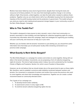Renters have been failed by every level of government, despite them having the tools and resources to fix these problems. It's now clear that meaningful positive change is not coming without a fight. Only tenants, united together, can take the bold action needed to address these problems. Together only we can shield what is left of our affordable housing from the destructive impulses of the for-profit housing market and its protectors in government. This toolkit will give you what you need to start making tenant-powered change happen in your community, as part of the Rent. Strike Bargain. Campaign.

## <span id="page-3-0"></span>**Who Is This Toolkit For?**

This toolkit is designed to help anyone to start a tenants' union in their local community or a tenants' association in their building, and start fighting for collective bargaining rights for renters. It provides key information about the campaign, steps and strategies for organizing your building and your community, and resources to help you in your work.

Whether you are familiar with the tenants' movement or just starting out, you should find useful information here that helps you to build power locally while remaining connected to our province-wide campaign.

### <span id="page-3-1"></span>**What Exactly Is Rent Strike Bargain?**

The Rent Strike Bargain is a campaign for workers and renters to come together. Along with our allies in the tenant and labour movements, we are proposing a form of collective bargaining rights for tenants. This kind of right already exists in labour law and is protected by the Canadian Charter of Rights and Freedoms, Section 2.d, which covers Freedom of Association.

However, we do not believe that we should simply rely on the government to give us these rights. We, therefore, seek to establish a province-wide solidarity movement between workers and tenants. Our movement is composed of workers and renters from across the province who want to come together and share their knowledge and experience. Together we can create a united movement based on community-directed action.

The 3 goals of our campaign are:

- 1. To develop tenant-renter solidarity.
- 2. To seed tenant unions in every region of BC.
- 3. To enshrine tenant collective bargaining rights into law.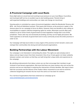## <span id="page-4-0"></span>**A Provincial Campaign with Local Roots**

Every fight starts at a local level and working to put pressure on your local Mayor, Councillors, and municipal staff can be an excellent way to start building power. Tenants living in well-organized buildings and communities can make real change at a local level.

Housing policy is controlled by a piece of provincial legislation called the Residential Tenancy Act (RTA - see Terms & Definitions section). That means that Victoria, as the province's capital, is the obvious place for our campaign to focus its efforts. However, there are benefits to also calling on municipalities to support collective bargaining rights for renters. Municipal councils often pass motions to call on senior levels of government to enact legislative change that is out of their jurisdiction. These calls may not necessarily be binding, but they can be highly persuasive. We need supporters at all levels of government and in every community across the entire province in order to win.

Our Campaign will help local renters in every region of the province to form tenants' unions and reshape their communities into strong and well-structured organizations.

#### <span id="page-4-1"></span>**Building Partnerships with the Labour Movement**

Our campaign is not interested in reinventing the wheel. The rights we seek already exist in labour and we hope to learn from their movement. One of our 3 main goals is to foster solidarity between workers and renters so that they can both bring their unique skills and experiences to the campaign.

By soliciting endorsements from labour unions we can then encourage their members to get involved in local tenant organizations. We know that there are many workers who rent across the province and we are interested in exploring the intersection of those identities. We hope to learn both the successes and the failures of the modern labour movement as we work to enshrine collective bargaining for tenants into law much the same as it has been for workers.

For a full list of organizations that have endorsed our campaign go to: [www.rentstrikebargain.com/endorsements](http://www.rentstrikebargain.com/endorsements)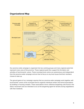### <span id="page-5-0"></span>**Organizational Map**



Our province-wide campaign is organized into two working groups and many regional pods that represent every area of the province. Those regional pods then support the formation and activities of local tenants' unions. These municipal level unions are autonomous and independent from the province-wide campaign and are free to focus on any local issues that their members choose to take up.

The ground game of our campaign requires that our province-wide campaign work together with local tenants' unions at the municipal level to organize individual renters into formal associations by building or housing complex. These associations mirror collective bargaining units found in the labour movement and are intended to act as the bargaining agent for tenants during negotiations with their landlords.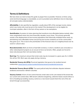## <span id="page-6-0"></span>**Terms & Definitions**

We have done our best to keep this guide as jargon-free as possible. However, at times using some technical language is unavoidable, so we've provided some definitions here to help keep all concepts easily understandable.

**Affordability:** A rate specified by regulation, usually about 30% of the average income, below which new rental units must be put on the market if the development is to be eligible for municipal subsidies, often in the form of levy waivers or tax exemptions.

**Gentrification:** A product of urban planning that transforms truly affordable (below-market), often more marginalized areas into more financially valuable, luxury areas. This process generally results in the displacement of low-income populations that historically inhabited these areas, by demolishing more affordable homes and pricing low-income residents out of the communities they grew up in. This is due to the prioritization of the financial value of a neighbourhood over its social or cultural value.

**Reno/demoviction:** Both are forms of bad-faith evictions, in which a landlord uses renovation or other redevelopment projects as an excuse to force out tenants. Often, people are forced to leave only because their rent was below-market.

**Rent Cap:** The maximum amount that rental costs may be increased in a given year. Ex. In 2022, this will be 1.5%. Rent caps only apply during a tenancy.

**Residential Tenancy Act (RTA):** Provincial legislation that governs the landlord-tenant relationship: [www2.gov.bc.ca/gov/content/housing-tenancy/residential-tenancies](https://www2.gov.bc.ca/gov/content/housing-tenancy/residential-tenancies)

**Residential Tenancy Branch (RTB):** The quasi-judicial body that arbitrates disputes between landlords and tenants in British Columbia.

**Vacancy Control:** A form of rent control that ties rental rates to the unit instead of the tenant like our current rent control does. With tenant collective bargaining, collective leases would enforce a form of building-by-building vacancy control as a new tenant would inherit the rent of the old tenant through successorship.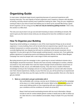# <span id="page-7-0"></span>**Organizing Guide**

In most cases, individuals begin tenant organizing because of a personal experience with housing insecurity. The vast majority of tenant organizers aren't experts or lawyers with decades of training, and they almost certainly aren't politicians looking for votes. They are your neighbours coming to help in your time of need and helping you to stand up for yourself. Becoming a good tenant organizer can be a long journey **that can only be started by getting involved** - that is why this section is a little short.

The only sure way to learn is to go out and start knocking on doors and talking to tenants. We want to give you the tools to know what you are doing and to have the confidence to get out there.

### <span id="page-7-1"></span>**How To Organize your Building**

Organizing rental buildings or complexes is one of the most important things we do as tenant organizers. In every building, there will be tenants that are experiencing a specific issue, such as landlord harassment or eviction prevention. You will also meet many tenants who are not currently fighting their own dispute but still want to contribute to the tenant movement. As an organizer, it is your job to get all of those people working toward a common aim. From gathering petition signatures to organizing events and lobbying elected officials, the Rent. Strike Bargain. Campaign has room for people with a vast range of skills and experience.

Recruiting tenants to join the campaign is also a great way to convert individual victories into a fully-fledged, tenant-led movement. Tenants who have recently challenged an eviction, whether successful or not, know better than most the impact stronger tenant protections would have on the availability of safe, secure, and affordable housing. They also have a wealth of firsthand knowledge to bring to the Campaign and are in a strong position to connect with other tenants over their shared experiences. Ideally, on your first time out, you will be joined by an experienced organizer who can help show you the ropes, but this is not always possible. Here are a few tips to get you started:

#### **1. Work on a brief pitch and get comfortable with it**

Get comfortable with a strong, concise rap to introduce yourself and the campaign at the door or in initial meetings with tenants. Refer to the *Introduction* section for some quick talking points on how organizing with your neighbours will improve your conditions and the conditions of renters all across B.C.

Keep it brief and avoid overloading tenants with too much information. Always include an ask for contact details (phone number is best!) and an offer to follow up at a later time for a more detailed conversation. Keep it simple if it's your first time out!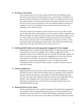#### **2. Go knock on some doors**

You've got your pitch, now it's time to get out there! The most effective way to reach out to new tenants and initiate face-to-face conversations in buildings is to go door-knocking. People may be hesitant to speak to a stranger at first, but once they realize that you are there to help, people are usually interested to hear what you have to say. If you are knocking in your own building, introduce yourself as a neighbour. If not, it can be helpful to bring someone with you that lives in the building, as it can help build trust.

Your pitch is great, but remember to listen at least as much as you talk. You will want to take note of any useful details, such as any issues a tenant is experiencing with their landlord. So make sure that you take a pen and notebook with you, and try to leave with some contact details. If someone says they are not interested, take a note to come back later. Their disinterest may change over time or as the movement inside the building gets more traction. They may just be having a bad day and be more open later. Don't give up on your first "no"!

#### **3. Identify potential leaders and encourage greater engagement in the campaign**

Organizing tenants is all about relationship building. Through this process, you will meet tenants who are more engaged in the broader struggle and have the capacity to take on more outside just their own building. Identify these people, ask them to join the Campaign, and even offer suggestions as to how their skills can most benefit the Campaign. Of course, you should always use your own judgement to avoid overloading people in crisis. For example, the period immediately before or during an eviction dispute is usually a bad time to ask for more from tenants.

#### **4. Create a building map**

Mapping does not mean you have to draw the floor plan of the building. It means knowing who lives in each unit and whether they are supportive of your efforts to organize. Start by focusing your conversations on folks that already agree with you, but if we want to win majority support we will have to persuade folks that are harder to reach. Mapping rent is also a great way to get your neighbours interested in organizing. You can find links to an example building map in the Campaign Materials section.

#### **5. Always feel free to ask for advice**

Tenants internalized too much landlord propaganda? Not getting the engagement you hoped for? Have trouble getting physical access to the last building in your neighbourhood? Your partners in the Rent Strike Bargain Campaign are here for any thorny issues you come across. If you think your building is ready for the next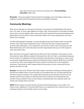steps, get in touch with us and we can discuss how a **Formal Building Association** might work.

**Remember** - when you speak to tenants about the Campaign, you're not asking a favour, but building a movement that will benefit all tenants across British Columbia.

### <span id="page-9-0"></span>**Community Meetings**

Once you've knocked on a few doors and found a core group of committed allies that want to join in our work, it's time to get together and make a plan. Tenant groups can leverage incredible power when we work together. Some areas will have the benefit of having well-developed tenant organizations that are active in their communities. Reach out to those organizations and invite them to your meetings.

The Rent Strike Bargain Campaign is a great springboard and conversation starter on the path towards more robust tenant organizing in your community. We have a long-term goal with province-wide implications, so it is important to connect your work to more local issues as well. Build relationships with tenant advocates and other legal experts that you can refer people to when they ask for help.

More short-term mini-projects might help win folks over to the Campaign. Tenant power can be the solution to many different problems that tenants face. We can't rely on conventional advocacy tools to protect our neighbours. Eviction prevention and standards of maintenance cases can be won through negotiating pressure without the Residential Tenancy Branch (RTB). Even if the RTB is used to win, these cases mitigate the harms caused to tenants by the current legislative framework. These kinds of direct support efforts will also prove to your community that your group is truly there to help.

**Example:** The Vancouver Tenants Union often begins community meetings by asking people to describe the stability of their current housing or any problems they are currently experiencing with their housing or landlord. This practice allows tenants to hear that their concerns are not isolated and that more people are experiencing similar hardships. By showing tenants the breadth of these problems, they are more likely to understand that only collective action will achieve the changes that we all want.

**NOTE:** Please respect any public health restrictions that limit gatherings in your region. The health of your neighbours is a priority. While they are no replacement for in-person events, virtual meetings should be used if health concerns are too high.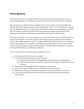### <span id="page-10-0"></span>**Phone Banking**

One of the best ways to drive large numbers of volunteers and supporters out to an event or other Campaign activity is to phone your contacts and ask them to confirm that they will attend.

Even though many volunteers may be hesitant to join a phone bank at first, once people start making calls, they're often surprised by how enjoyable it is. The key is to screen the list of people you are calling; the better the screening, the more likely the caller will end up talking to someone that will actually care about the cause. Screening is easier with bigger contact lists. Smaller groups may not find phone banking to be too potent a tool for them until they grow.

Other than a good list to call from, another key to a successful phone bank is a flexible script and well-trained volunteers. The script should be descriptive enough to provide all the information that the caller might need, but it can't be too rigid. Experienced callers will learn how to adapt any script to make the best of the specific circumstances of their call. Every tenant is unique and no script in the world is good enough for every situation. A sample script is available on our website at www.rentstrikebargain.com/campaign\_materials.

The main components to any good organizing phone call are:

- 1) Introduce yourself and why you are calling
- 2) Connect and remind them why they got involved
	- a) If they can't remember, ask if anything about their tenancy is bothering them.
	- b) Listen to their problems and either tie them to the Campaign or refer them to other resources.
- 3) Discuss why the Rent Strike Bargain Campaign is so important.
- 4) Ask them to sign the petition/come to the event/become a volunteer.
- 5) Remind them that they are joining a movement of tenants and together we will win!
- 6) Confirm their information to make sure that they stay informed and get invitations to future actions.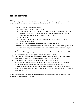## <span id="page-11-0"></span>**Tabling at Events**

Tabling in your neighbourhood and at community events is a great way for you to meet your neighbours, talk about the Campaign, gather signatures, and recruit volunteers.

- 1. Assemble the things you need to table:
	- Table, chairs, a banner, and placards
	- Rent Strike Bargain flyers, contact sheets, and copies of any other documents relevant to your work (e.g. a petition or letter to the government, a volunteer sign-up sheet for an event or door-knocking drive etc.)
	- A donation jar
	- Your local tenant association swag (Membership forms, stickers, or other promotional materials)
- 2. Set a date and time, and find at least one other volunteer to join you.
- 3. Find a spot in your neighbourhood with lots of foot traffic. If you are in a designated spot at an event, have one person behind the table and another roaming the crowd to pull people in.
- 4. Don't be afraid to approach people the worst that will happen is that they say no! Come up with a quick hook to attract people's interest as they pass by.
- 5. After you have finished your shift, be sure to collect any remaining flyers and outreach materials to save for next time. (Next week? Tomorrow? Awesome!)
- 6. Input all data into a spreadsheet (you can download a template at www.rentstrikebargain.com/campaign\_materials), and send them to the Rent Strike Bargain team so we can add the signatures you collect to our online petition.
- 7. Thank your volunteers and have a debrief. What worked? What didn't? Set a date and time to go out next week, and don't forget to watch out for other local events for ideas of where to table next.

**NOTE:** Please respect any public health restrictions that limit gatherings in your region. The health of your neighbours is a priority.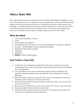# <span id="page-12-0"></span>**Host a Town Hall**

Town Halls are great ways to announce the arrival of the Rent Strike Bargain Campaign in a new area or to expand our roots in an area where we are already active in. They are meant to educate people in the community about why this issue is important and ask folks to get involved in the Campaign, in whatever capacity their skills and resources allow them to. Town Halls do not have to be long events, and one of the most important parts of a Town Hall is what happens after make sure to set aside time for people to mingle and get to know each other better.

#### <span id="page-12-1"></span>**What You Need**

- 1. The Hall (30-100 people), or online
- 2. Chairs
- 3. A/V gear (Mics, PA, projector)
- 4. A Presentation (You can find ours at www.rentstrikebargain.com/campaign\_materials)
- 5. Speakers Host/Facilitator, Presenter, Guest(s) (if available)
- 6. Registration Table & Sign-up Sheet
- 7. Volunteers
- 8. Attendees!
- 9. **BONUS -** Snacks & Refreshments

#### <span id="page-12-2"></span>**How To Run a Town Hall**

- Consider the role of facilitator/moderator/host. This person needs to have a good understanding of the issues, and be able to keep the discussion focused and equitable (e.g. among genders).
- The accessibility of your venue is important to people who have disabilities. Ask attendees ahead if anybody requires any particular accommodations to be able to participate.
- Make sure to set an agenda and stick to it. Also, ensure it's accessible to everyone in attendance (either project it or print plenty of copies).
- Everyone that attends should sign in and give a method of contact. You need to know who came to the event.
- Do your research and know the concerns and needs of the renters in your community.
- Keep energy high. Chants are highly recommended.
- If possible, invite questions and comments from the community before the town hall, which can be incorporated into the presentation.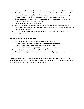- Consider the different ways to approach a  $Q \& A$  session. You can ask attendees to write down their questions throughout the presentation, and submit them to the facilitator for review. It might be useful to have a microphone available and offer follow-up on any concern or question that is unanswered or needs a more in-depth response.
- Encourage healthy discussion and be prepared to confront attendees' misconceptions about the roots of the rental housing crisis.
- Appoint a volunteer to take thorough notes.
- After you get people excited make sure you get them to commit to the next steps! Coming to a meeting, going door-knocking/tabling, or helping with data entry are all great avenues of engagement.
- You might provide a simple post-meeting survey or feedback form, either at the end of town hall or online.

### <span id="page-13-0"></span>**The Benefits of a Town Hall**

- 1. Getting the word out about the Rent Strike Bargain Campaign
- 2. Educating your local community about the ins and outs of organizing
- 3. Creating solidarity between renters and workers in your area
- 4. Inspiring enthusiasm for change and action among local renters
- 5. Unearthing the skills and resources of the local community
- 6. Building relationships, trust, and connection in a community/neighbourhood

**NOTE:** Please respect any public health restrictions that limit gatherings in your region. The health of your neighbours is a priority. While they are no replacement for in-person events, virtual meetings should be used if health concerns are too high.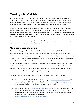# <span id="page-14-0"></span>**Meeting With Officials**

Meeting with officials is a key part of building relationships with people who have power, and connecting them with tenants in their ridings/districts. This gives them a chance to learn more about the lived experience of the tenants they represent and learn more about our organizing work around Rent Strike Bargain. Officials need to see and understand tenant power!

In the "Provincial Campaign with Local Roots" section on page 4, we outlined why it's important to get local governments on board, even though we are fighting for provincial legislation. Local efforts amplify the concerns of the constituents and put pressure on the provincial government to act on those concerns. So make sure both your municipality's council and your MLA know that we need collective bargaining for tenants!

These skills also apply to meetings with union officials or community groups to try and arrange meetings with their members or to solicit an endorsement.

#### <span id="page-14-1"></span>**Make the Meeting Effective**

If you are meeting your MLA or Municipality Councillor for the first time, think about how you will help them understand the negative impact that the absence of collective bargaining rights is having on renters. Invite people with lived experience of reno/demovictions or unreasonable rent increases to the meeting or have their stories on hand. The voices of the people directly affected need to be heard by officials and their stories will demonstrate the need for stronger tenant protections. Know your demands regarding the legislature, but focus on the stories and fostering a relationship with the political leader. In subsequent conversations, once the MLA or Councillor is familiar with the need for tenant collective bargaining and the Rent Strike Bargain Campaign, you can clarify how they are willing to support the Campaign.

Following these suggestions will help you organize a meeting with little to no hassle:

- 1. Get in touch with the Rent Strike Bargain Campaign at [rentstrikebargain@gmail.com](mailto:rentstrikebargain@gmail.com). They can let you know which officials have already been contacted. If you are interested in being a part of the Rent Strike Bargain Campaign, let us know!
- 2. Use the MLA finder [\(www.leg.bc.ca/learn-about-us/members\)](https://www.leg.bc.ca/learn-about-us/members) to find your local MLA, and then phone or email them directly to request a meeting. Check your local government website to find your municipality's councillors. You can find the link for your municipality on the Union of B.C. Municipalities website at: [www.ubcm.ca/EN/main/about/ubcm-members.html](https://www.ubcm.ca/EN/main/about/ubcm-members.html)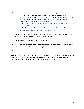- 3. Use these resources to help you focus and inform your meeting:
	- *●* The B.C. Poverty Reduction Coalition ABC Plan website has detailed and party-targeted guides for meeting with MLAs. The guides' talking points are for a poverty reduction plan, but they are worth reading to get an idea of how the meeting can go. You can find the guide here:
		- *●* [www.abcplan.ca/wp-content/uploads/2018/07/Meet-Your-BC-Liberal-MLA-2](https://www.abcplan.ca/wp-content/uploads/2018/07/Meet-Your-BC-Liberal-MLA-2018.pdf) [018.pdf](https://www.abcplan.ca/wp-content/uploads/2018/07/Meet-Your-BC-Liberal-MLA-2018.pdf)
	- Public Interest Alberta's website also has a detailed MLA Advocacy Guide [www.adwa.ca/files/MLA\\_Advocacy\\_Guide\\_PIA2017.pdf](https://www.adwa.ca/files/MLA_Advocacy_Guide_PIA2017.pdf)
- 4. Connect as a group with the people you invite to join you, to make sure everyone is clear on purpose and strategy for the meeting with the politician.
- 5. Take notes on what happens during the meeting.
- 6. Ask whether the politician you are speaking with has any suggestions for who you could meet with next and if they would be willing to put you in touch.
- 7. Let us know how your meeting went!

**NOTE:** An in-person meeting is the most effective. However, if you only have a moment, email the Minister of Municipal Affairs and Housing and other key provincial political leaders with tenant stories and collective bargaining rights for renters as our legislative demands.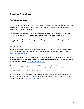# <span id="page-16-0"></span>**Further Activities**

### <span id="page-16-1"></span>**Social Media Posts**

You can amplify your advocacy using social media. It's a great way to get the attention of political decision-makers and to connect with fellow tenants. Below, you'll find some simple shareable posts for Instagram, Facebook, Twitter, etc.

On Twitter, it's best to target or modify these sample messages. You can tag key people in the B.C. government by including their Twitter "handle" in your message. For example:

Use **@jjhorgan** for Premier John Horgan and **@dave\_eby** for David Eby, Attorney General and Minister Responsible for Housing.

#### <span id="page-16-2"></span>Sample Posts

#unionathome means real security for renters. We can stop profit-motivated evictions and keep our communities intact. Start organizing in your area and join the fight for housing justice [www.rentstrikebargain.com](http://www.rentstrikebargain.com)

Every eviction means another affordable unit is lost. With collective bargaining, landlords wouldn't be able to jack up the rent in between tenants, meaning we keep more housing available for the people who need it most [www.rentstrikebargain.com](http://www.rentstrikebargain.com)

Which rises faster, your wages or your rent? Without a #unionathome, rising wages and increases in programs like welfare and disability go straight into the landlords' pockets. Join our campaign to keep more of your money in your hands. [www.rentstrikebargain.com](http://www.rentstrikebargain.com)

Renting shouldn't be stressful. There's a real simple solution to stop landlords from harassing tenants to maximize their profits. #unionathome will end profit-motivated evictions, so tenants can stay in their homes. [www.rentstrikebargain.com](http://www.rentstrikebargain.com)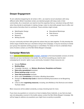### <span id="page-17-0"></span>**Deeper Engagement**

To win collective bargaining for all renters in B.C., we need to recruit volunteers with many different skills. British Columbian renters are talented people with deep roots in their communities. As a movement, we need to trust the expertise that our volunteers bring with them when they decide to participate in making change. Listen to what skills people have to offer, and take actions that allow them to contribute. These activities might include:

● Web/Graphic Design

- Educational Workshops
- Data Science
- ...many more

● Writing Op-eds

● Fundraising ● Research

Let your community and their skills guide the actions that you take together. To fully develop the whole range of talents that your volunteers bring to the Campaign, it may be necessary to divide your group into separate working groups or committees. For ideas on how to undertake these sorts of actions contact us at the Rent Strike Bargain Campaign.

#### <span id="page-17-1"></span>**Campaign Materials**

Go to **[www.rentstrikebargain.com/](http://www.rentstrikebargain.com/campaign_materials)campaign\_materials** to find downloadable versions of all the materials we have mentioned in this toolkit. You will find everything you need to start campaigning for tenants' rights in your community. Included in these resources are:

- Sample **Petitions**
- **● Building Maps**
- Campaign Literature ex. **Stickers, Brochures, Pamphlets and Posters**
- **Data entry spreadsheet** templates
- **Phone banking script** example
- **Town Hall presentation** example
- Boiler-plate **Constitution** to formalize a Building Association
- Designs for **Membership Cards** to Authorize Building Associations to be Bargaining Agents
- Links to other **organizing resources**, including Jane McAlevy's No Shortcuts and related YouTube videos

More resources will be added constantly, so keep checking back for more.

If you have any questions or concerns on how to deploy these materials, or you feel any topic was not adequately covered in this toolkit, please contact the Rent Strike Bargain Campaign. We will be happy to address any questions you might have as quickly as possible.